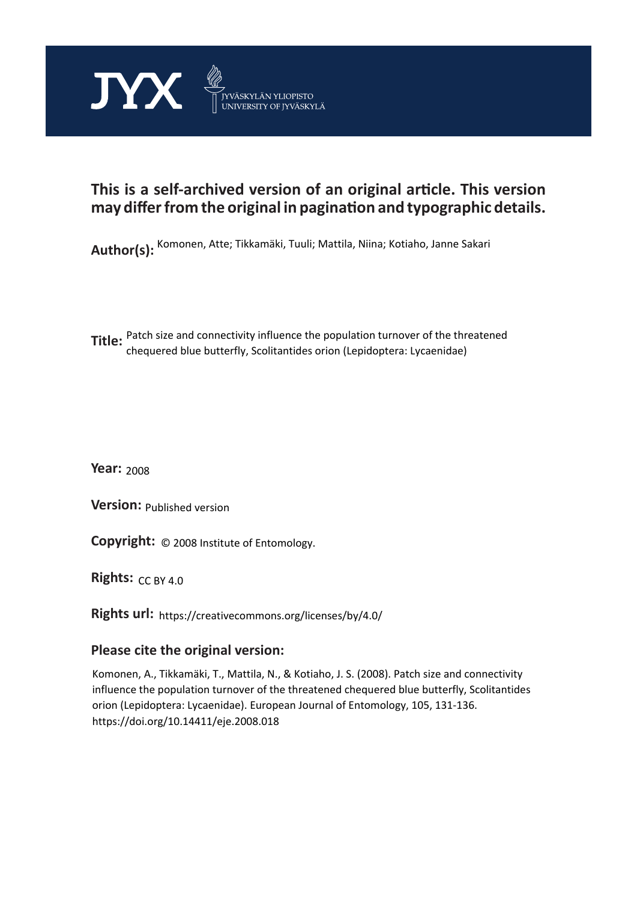

# **This is a self-archived version of an original article. This version may differ from the original in pagination and typographic details.**

**Author(s):**  Komonen, Atte; Tikkamäki, Tuuli; Mattila, Niina; Kotiaho, Janne Sakari

**Title:** Patch size and connectivity influence the population turnover of the threatened<br>**Title:** absenced the buttage continuation exists (Louislanters, Lucas sides) chequered blue butterfly, Scolitantides orion (Lepidoptera: Lycaenidae)

**Year:**  2008

**Version:**

**Version:** Published version<br>**Copyright:** © 2008 Institute of Entomology.

**Rights:** CC BY 4.0

**Rights url:**  https://creativecommons.org/licenses/by/4.0/

# **Please cite the original version:**

Komonen, A., Tikkamäki, T., Mattila, N., & Kotiaho, J. S. (2008). Patch size and connectivity influence the population turnover of the threatened chequered blue butterfly, Scolitantides orion (Lepidoptera: Lycaenidae). European Journal of Entomology, 105, 131-136. https://doi.org/10.14411/eje.2008.018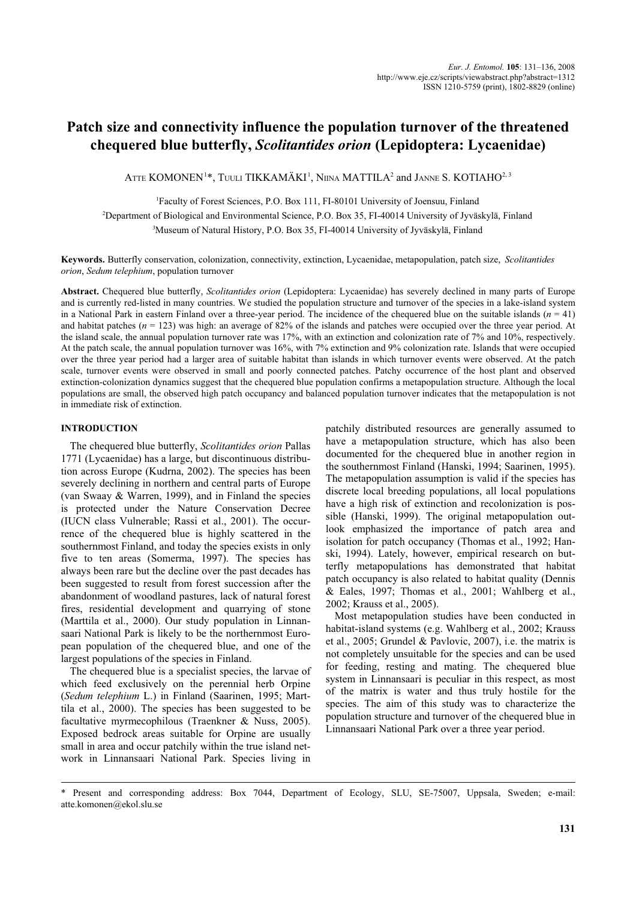# **Patch size and connectivity influence the population turnover of the threatened chequered blue butterfly,** *Scolitantides orion* **(Lepidoptera: Lycaenidae)**

ATTE  $\mathsf{KOMONEN^{1*},}$  Tuuli TIKKAMÄKI<sup>1</sup>, Niina MATTILA<sup>2</sup> and Janne S. KOTIAHO<sup>2, 3</sup>

1 Faculty of Forest Sciences, P.O. Box 111, FI-80101 University of Joensuu, Finland

2 Department of Biological and Environmental Science, P.O. Box 35, FI-40014 University of Jyväskylä, Finland

3 Museum of Natural History, P.O. Box 35, FI-40014 University of Jyväskylä, Finland

**Keywords.** Butterfly conservation, colonization, connectivity, extinction, Lycaenidae, metapopulation, patch size, *Scolitantides orion*, *Sedum telephium*, population turnover

**Abstract.** Chequered blue butterfly, *Scolitantides orion* (Lepidoptera: Lycaenidae) has severely declined in many parts of Europe and is currently red-listed in many countries. We studied the population structure and turnover of the species in a lake-island system in a National Park in eastern Finland over a three-year period. The incidence of the chequered blue on the suitable islands  $(n = 41)$ and habitat patches (*n* = 123) was high: an average of 82% of the islands and patches were occupied over the three year period. At the island scale, the annual population turnover rate was 17%, with an extinction and colonization rate of 7% and 10%, respectively. At the patch scale, the annual population turnover was 16%, with 7% extinction and 9% colonization rate. Islands that were occupied over the three year period had a larger area of suitable habitat than islands in which turnover events were observed. At the patch scale, turnover events were observed in small and poorly connected patches. Patchy occurrence of the host plant and observed extinction-colonization dynamics suggest that the chequered blue population confirms a metapopulation structure. Although the local populations are small, the observed high patch occupancy and balanced population turnover indicates that the metapopulation is not in immediate risk of extinction.

# **INTRODUCTION**

The chequered blue butterfly, *Scolitantides orion* Pallas 1771 (Lycaenidae) has a large, but discontinuous distribution across Europe (Kudrna, 2002). The species has been severely declining in northern and central parts of Europe (van Swaay & Warren, 1999), and in Finland the species is protected under the Nature Conservation Decree (IUCN class Vulnerable; Rassi et al., 2001). The occurrence of the chequered blue is highly scattered in the southernmost Finland, and today the species exists in only five to ten areas (Somerma, 1997). The species has always been rare but the decline over the past decades has been suggested to result from forest succession after the abandonment of woodland pastures, lack of natural forest fires, residential development and quarrying of stone (Marttila et al., 2000). Our study population in Linnansaari National Park is likely to be the northernmost European population of the chequered blue, and one of the largest populations of the species in Finland.

The chequered blue is a specialist species, the larvae of which feed exclusively on the perennial herb Orpine (*Sedum telephium* L.) in Finland (Saarinen, 1995; Marttila et al., 2000). The species has been suggested to be facultative myrmecophilous (Traenkner & Nuss, 2005). Exposed bedrock areas suitable for Orpine are usually small in area and occur patchily within the true island network in Linnansaari National Park. Species living in

patchily distributed resources are generally assumed to have a metapopulation structure, which has also been documented for the chequered blue in another region in the southernmost Finland (Hanski, 1994; Saarinen, 1995). The metapopulation assumption is valid if the species has discrete local breeding populations, all local populations have a high risk of extinction and recolonization is possible (Hanski, 1999). The original metapopulation outlook emphasized the importance of patch area and isolation for patch occupancy (Thomas et al., 1992; Hanski, 1994). Lately, however, empirical research on butterfly metapopulations has demonstrated that habitat patch occupancy is also related to habitat quality (Dennis & Eales, 1997; Thomas et al., 2001; Wahlberg et al., 2002; Krauss et al., 2005).

Most metapopulation studies have been conducted in habitat-island systems (e.g. Wahlberg et al., 2002; Krauss et al., 2005; Grundel & Pavlovic, 2007), i.e. the matrix is not completely unsuitable for the species and can be used for feeding, resting and mating. The chequered blue system in Linnansaari is peculiar in this respect, as most of the matrix is water and thus truly hostile for the species. The aim of this study was to characterize the population structure and turnover of the chequered blue in Linnansaari National Park over a three year period.

<sup>\*</sup> Present and corresponding address: Box 7044, Department of Ecology, SLU, SE-75007, Uppsala, Sweden; e-mail: atte.komonen@ekol.slu.se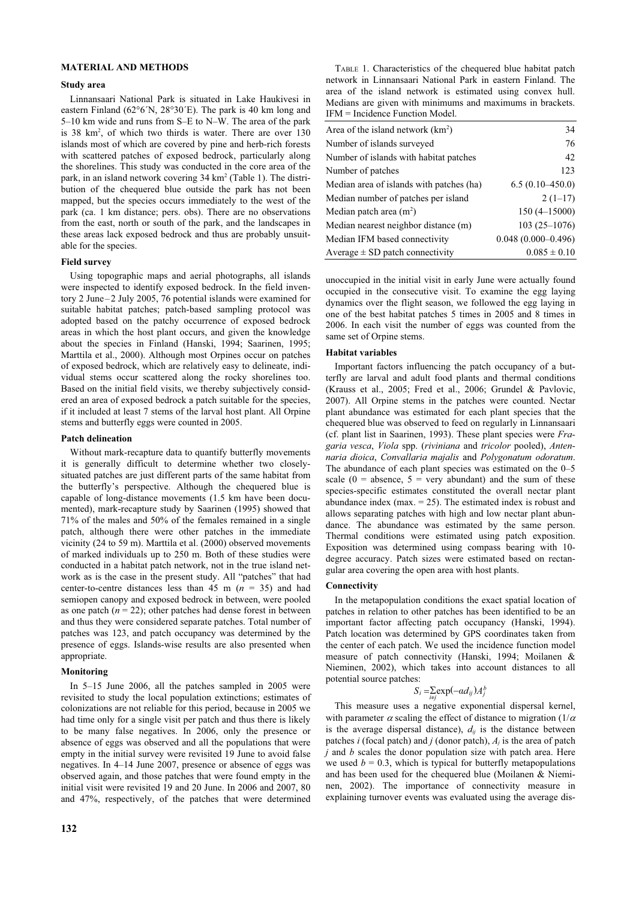### **MATERIAL AND METHODS**

#### **Study area**

Linnansaari National Park is situated in Lake Haukivesi in eastern Finland (62°6´N, 28°30´E). The park is 40 km long and 5–10 km wide and runs from S–E to N–W. The area of the park is 38 km<sup>2</sup>, of which two thirds is water. There are over 130 islands most of which are covered by pine and herb-rich forests with scattered patches of exposed bedrock, particularly along the shorelines. This study was conducted in the core area of the park, in an island network covering 34 km<sup>2</sup> (Table 1). The distribution of the chequered blue outside the park has not been mapped, but the species occurs immediately to the west of the park (ca. 1 km distance; pers. obs). There are no observations from the east, north or south of the park, and the landscapes in these areas lack exposed bedrock and thus are probably unsuitable for the species.

# **Field survey**

Using topographic maps and aerial photographs, all islands were inspected to identify exposed bedrock. In the field inventory 2 June–2 July 2005, 76 potential islands were examined for suitable habitat patches; patch-based sampling protocol was adopted based on the patchy occurrence of exposed bedrock areas in which the host plant occurs, and given the knowledge about the species in Finland (Hanski, 1994; Saarinen, 1995; Marttila et al., 2000). Although most Orpines occur on patches of exposed bedrock, which are relatively easy to delineate, individual stems occur scattered along the rocky shorelines too. Based on the initial field visits, we thereby subjectively considered an area of exposed bedrock a patch suitable for the species, if it included at least 7 stems of the larval host plant. All Orpine stems and butterfly eggs were counted in 2005.

# **Patch delineation**

Without mark-recapture data to quantify butterfly movements it is generally difficult to determine whether two closelysituated patches are just different parts of the same habitat from the butterfly's perspective. Although the chequered blue is capable of long-distance movements (1.5 km have been documented), mark-recapture study by Saarinen (1995) showed that 71% of the males and 50% of the females remained in a single patch, although there were other patches in the immediate vicinity (24 to 59 m). Marttila et al. (2000) observed movements of marked individuals up to 250 m. Both of these studies were conducted in a habitat patch network, not in the true island network as is the case in the present study. All "patches" that had center-to-centre distances less than  $45 \text{ m}$  ( $n = 35$ ) and had semiopen canopy and exposed bedrock in between, were pooled as one patch  $(n = 22)$ ; other patches had dense forest in between and thus they were considered separate patches. Total number of patches was 123, and patch occupancy was determined by the presence of eggs. Islands-wise results are also presented when appropriate.

#### **Monitoring**

In 5–15 June 2006, all the patches sampled in 2005 were revisited to study the local population extinctions; estimates of colonizations are not reliable for this period, because in 2005 we had time only for a single visit per patch and thus there is likely to be many false negatives. In 2006, only the presence or absence of eggs was observed and all the populations that were empty in the initial survey were revisited 19 June to avoid false negatives. In 4–14 June 2007, presence or absence of eggs was observed again, and those patches that were found empty in the initial visit were revisited 19 and 20 June. In 2006 and 2007, 80 and 47%, respectively, of the patches that were determined

TABLE 1. Characteristics of the chequered blue habitat patch network in Linnansaari National Park in eastern Finland. The area of the island network is estimated using convex hull. Medians are given with minimums and maximums in brackets. IFM = Incidence Function Model.

| Area of the island network $(km^2)$      | 34                     |
|------------------------------------------|------------------------|
| Number of islands surveyed               | 76                     |
| Number of islands with habitat patches   | 42                     |
| Number of patches                        | 123                    |
| Median area of islands with patches (ha) | $6.5(0.10-450.0)$      |
| Median number of patches per island      | $2(1-17)$              |
| Median patch area $(m2)$                 | $150(4-15000)$         |
| Median nearest neighbor distance (m)     | $103(25-1076)$         |
| Median IFM based connectivity            | $0.048(0.000 - 0.496)$ |
| Average $\pm$ SD patch connectivity      | $0.085 \pm 0.10$       |

unoccupied in the initial visit in early June were actually found occupied in the consecutive visit. To examine the egg laying dynamics over the flight season, we followed the egg laying in one of the best habitat patches 5 times in 2005 and 8 times in 2006. In each visit the number of eggs was counted from the same set of Orpine stems.

#### **Habitat variables**

Important factors influencing the patch occupancy of a butterfly are larval and adult food plants and thermal conditions (Krauss et al., 2005; Fred et al., 2006; Grundel & Pavlovic, 2007). All Orpine stems in the patches were counted. Nectar plant abundance was estimated for each plant species that the chequered blue was observed to feed on regularly in Linnansaari (cf. plant list in Saarinen, 1993). These plant species were *Fragaria vesca*, *Viola* spp. (*riviniana* and *tricolor* pooled), *Antennaria dioica*, *Convallaria majalis* and *Polygonatum odoratum*. The abundance of each plant species was estimated on the 0–5 scale  $(0 = \text{absence}, 5 = \text{very abundant})$  and the sum of these species-specific estimates constituted the overall nectar plant abundance index ( $max = 25$ ). The estimated index is robust and allows separating patches with high and low nectar plant abundance. The abundance was estimated by the same person. Thermal conditions were estimated using patch exposition. Exposition was determined using compass bearing with 10 degree accuracy. Patch sizes were estimated based on rectangular area covering the open area with host plants.

#### **Connectivity**

In the metapopulation conditions the exact spatial location of patches in relation to other patches has been identified to be an important factor affecting patch occupancy (Hanski, 1994). Patch location was determined by GPS coordinates taken from the center of each patch. We used the incidence function model measure of patch connectivity (Hanski, 1994; Moilanen & Nieminen, 2002), which takes into account distances to all potential source patches:

$$
S_i = \sum_{i \neq j} \exp(-a d_{ij}) A_j^b
$$

This measure uses a negative exponential dispersal kernel, with parameter  $\alpha$  scaling the effect of distance to migration (1/ $\alpha$ ) is the average dispersal distance),  $d_{ij}$  is the distance between patches *i* (focal patch) and *j* (donor patch), *Aj* is the area of patch *j* and *b* scales the donor population size with patch area. Here we used  $b = 0.3$ , which is typical for butterfly metapopulations and has been used for the chequered blue (Moilanen & Nieminen, 2002). The importance of connectivity measure in explaining turnover events was evaluated using the average dis-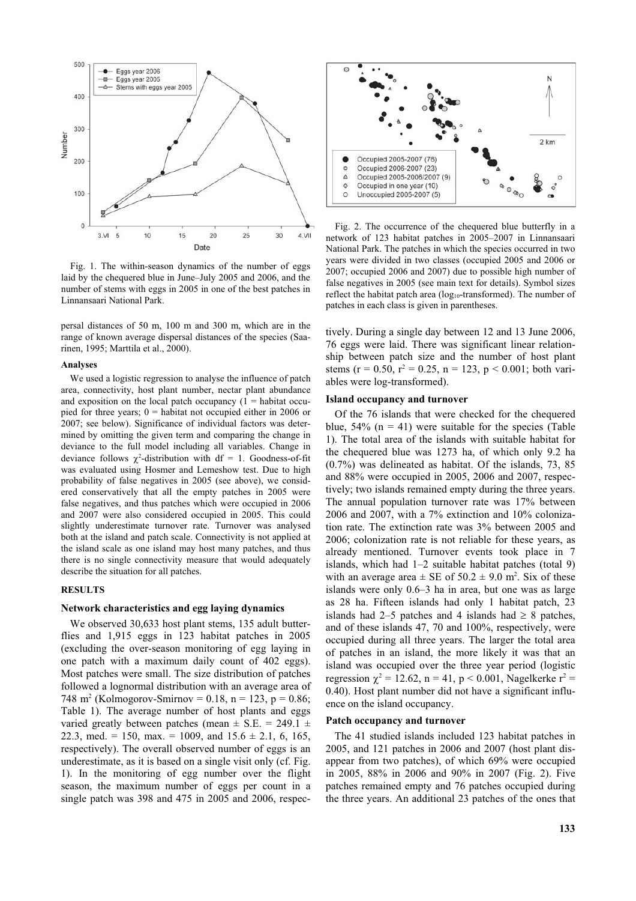

Fig. 1. The within-season dynamics of the number of eggs laid by the chequered blue in June–July 2005 and 2006, and the number of stems with eggs in 2005 in one of the best patches in Linnansaari National Park.

persal distances of 50 m, 100 m and 300 m, which are in the range of known average dispersal distances of the species (Saarinen, 1995; Marttila et al., 2000).

#### **Analyses**

We used a logistic regression to analyse the influence of patch area, connectivity, host plant number, nectar plant abundance and exposition on the local patch occupancy  $(1 =$  habitat occupied for three years; 0 = habitat not occupied either in 2006 or 2007; see below). Significance of individual factors was determined by omitting the given term and comparing the change in deviance to the full model including all variables. Change in deviance follows  $\chi^2$ -distribution with df = 1. Goodness-of-fit was evaluated using Hosmer and Lemeshow test. Due to high probability of false negatives in 2005 (see above), we considered conservatively that all the empty patches in 2005 were false negatives, and thus patches which were occupied in 2006 and 2007 were also considered occupied in 2005. This could slightly underestimate turnover rate. Turnover was analysed both at the island and patch scale. Connectivity is not applied at the island scale as one island may host many patches, and thus there is no single connectivity measure that would adequately describe the situation for all patches.

#### **RESULTS**

### **Network characteristics and egg laying dynamics**

We observed 30,633 host plant stems, 135 adult butterflies and 1,915 eggs in 123 habitat patches in 2005 (excluding the over-season monitoring of egg laying in one patch with a maximum daily count of 402 eggs). Most patches were small. The size distribution of patches followed a lognormal distribution with an average area of 748 m<sup>2</sup> (Kolmogorov-Smirnov = 0.18, n = 123, p = 0.86; Table 1). The average number of host plants and eggs varied greatly between patches (mean  $\pm$  S.E. = 249.1  $\pm$ 22.3, med. = 150, max. = 1009, and  $15.6 \pm 2.1$ , 6, 165, respectively). The overall observed number of eggs is an underestimate, as it is based on a single visit only (cf. Fig. 1). In the monitoring of egg number over the flight season, the maximum number of eggs per count in a single patch was 398 and 475 in 2005 and 2006, respec-



Fig. 2. The occurrence of the chequered blue butterfly in a network of 123 habitat patches in 2005–2007 in Linnansaari National Park. The patches in which the species occurred in two years were divided in two classes (occupied 2005 and 2006 or 2007; occupied 2006 and 2007) due to possible high number of false negatives in 2005 (see main text for details). Symbol sizes reflect the habitat patch area  $(log_{10}$ -transformed). The number of patches in each class is given in parentheses.

tively. During a single day between 12 and 13 June 2006, 76 eggs were laid. There was significant linear relationship between patch size and the number of host plant stems (r = 0.50, r<sup>2</sup> = 0.25, n = 123, p < 0.001; both variables were log-transformed).

#### **Island occupancy and turnover**

Of the 76 islands that were checked for the chequered blue,  $54\%$  (n = 41) were suitable for the species (Table 1). The total area of the islands with suitable habitat for the chequered blue was 1273 ha, of which only 9.2 ha (0.7%) was delineated as habitat. Of the islands, 73, 85 and 88% were occupied in 2005, 2006 and 2007, respectively; two islands remained empty during the three years. The annual population turnover rate was 17% between 2006 and 2007, with a 7% extinction and 10% colonization rate. The extinction rate was 3% between 2005 and 2006; colonization rate is not reliable for these years, as already mentioned. Turnover events took place in 7 islands, which had 1–2 suitable habitat patches (total 9) with an average area  $\pm$  SE of 50.2  $\pm$  9.0 m<sup>2</sup>. Six of these islands were only 0.6–3 ha in area, but one was as large as 28 ha. Fifteen islands had only 1 habitat patch, 23 islands had 2–5 patches and 4 islands had  $\geq 8$  patches, and of these islands 47, 70 and 100%, respectively, were occupied during all three years. The larger the total area of patches in an island, the more likely it was that an island was occupied over the three year period (logistic regression  $\chi^2$  = 12.62, n = 41, p < 0.001, Nagelkerke r<sup>2</sup> = 0.40). Host plant number did not have a significant influence on the island occupancy.

### **Patch occupancy and turnover**

The 41 studied islands included 123 habitat patches in 2005, and 121 patches in 2006 and 2007 (host plant disappear from two patches), of which 69% were occupied in 2005, 88% in 2006 and 90% in 2007 (Fig. 2). Five patches remained empty and 76 patches occupied during the three years. An additional 23 patches of the ones that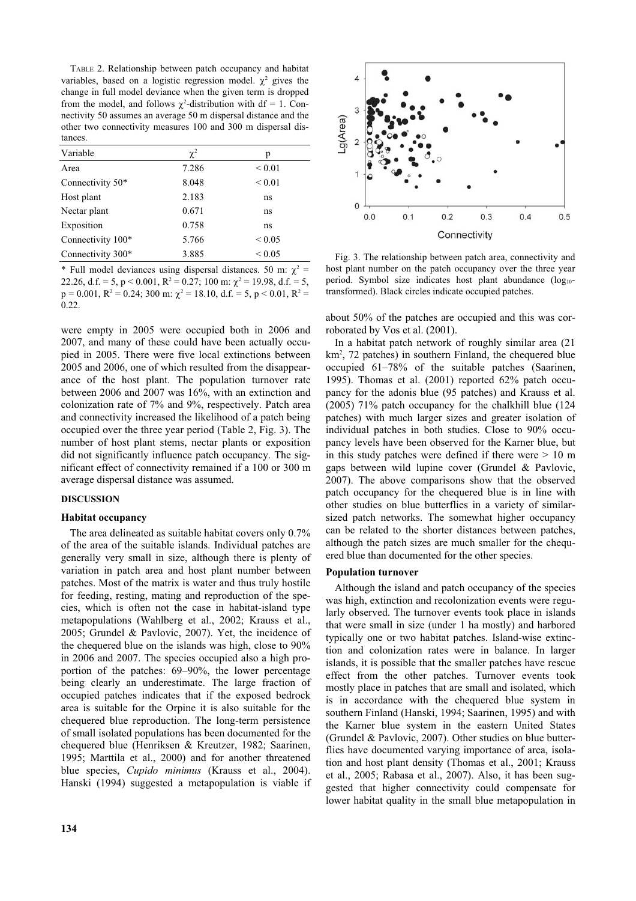TABLE 2. Relationship between patch occupancy and habitat variables, based on a logistic regression model.  $\chi^2$  gives the change in full model deviance when the given term is dropped from the model, and follows  $\chi^2$ -distribution with df = 1. Connectivity 50 assumes an average 50 m dispersal distance and the other two connectivity measures 100 and 300 m dispersal distances.

| Variable          | $\chi^2$ | р           |
|-------------------|----------|-------------|
| Area              | 7.286    | ${}_{0.01}$ |
| Connectivity 50*  | 8.048    | ${}_{0.01}$ |
| Host plant        | 2.183    | ns          |
| Nectar plant      | 0.671    | ns          |
| Exposition        | 0.758    | ns          |
| Connectivity 100* | 5.766    | ${}< 0.05$  |
| Connectivity 300* | 3.885    | ${}< 0.05$  |

\* Full model deviances using dispersal distances. 50 m:  $\chi^2$  = 22.26, d.f. = 5, p < 0.001, R<sup>2</sup> = 0.27; 100 m:  $\chi^2$  = 19.98, d.f. = 5,  $p = 0.001$ ,  $R^2 = 0.24$ ; 300 m:  $\chi^2 = 18.10$ , d.f. = 5,  $p < 0.01$ ,  $R^2 =$ 0.22.

were empty in 2005 were occupied both in 2006 and 2007, and many of these could have been actually occupied in 2005. There were five local extinctions between 2005 and 2006, one of which resulted from the disappearance of the host plant. The population turnover rate between 2006 and 2007 was 16%, with an extinction and colonization rate of 7% and 9%, respectively. Patch area and connectivity increased the likelihood of a patch being occupied over the three year period (Table 2, Fig. 3). The number of host plant stems, nectar plants or exposition did not significantly influence patch occupancy. The significant effect of connectivity remained if a 100 or 300 m average dispersal distance was assumed.

# **DISCUSSION**

#### **Habitat occupancy**

The area delineated as suitable habitat covers only 0.7% of the area of the suitable islands. Individual patches are generally very small in size, although there is plenty of variation in patch area and host plant number between patches. Most of the matrix is water and thus truly hostile for feeding, resting, mating and reproduction of the species, which is often not the case in habitat-island type metapopulations (Wahlberg et al., 2002; Krauss et al., 2005; Grundel & Pavlovic, 2007). Yet, the incidence of the chequered blue on the islands was high, close to 90% in 2006 and 2007. The species occupied also a high proportion of the patches: 69–90%, the lower percentage being clearly an underestimate. The large fraction of occupied patches indicates that if the exposed bedrock area is suitable for the Orpine it is also suitable for the chequered blue reproduction. The long-term persistence of small isolated populations has been documented for the chequered blue (Henriksen & Kreutzer, 1982; Saarinen, 1995; Marttila et al., 2000) and for another threatened blue species, *Cupido minimus* (Krauss et al., 2004). Hanski (1994) suggested a metapopulation is viable if



Fig. 3. The relationship between patch area, connectivity and host plant number on the patch occupancy over the three year period. Symbol size indicates host plant abundance (log<sub>10</sub>transformed). Black circles indicate occupied patches.

about 50% of the patches are occupied and this was corroborated by Vos et al. (2001).

In a habitat patch network of roughly similar area (21 km<sup>2</sup>, 72 patches) in southern Finland, the chequered blue occupied 61–78% of the suitable patches (Saarinen, 1995). Thomas et al. (2001) reported 62% patch occupancy for the adonis blue (95 patches) and Krauss et al. (2005) 71% patch occupancy for the chalkhill blue (124 patches) with much larger sizes and greater isolation of individual patches in both studies. Close to 90% occupancy levels have been observed for the Karner blue, but in this study patches were defined if there were  $> 10$  m gaps between wild lupine cover (Grundel & Pavlovic, 2007). The above comparisons show that the observed patch occupancy for the chequered blue is in line with other studies on blue butterflies in a variety of similarsized patch networks. The somewhat higher occupancy can be related to the shorter distances between patches, although the patch sizes are much smaller for the chequered blue than documented for the other species.

#### **Population turnover**

Although the island and patch occupancy of the species was high, extinction and recolonization events were regularly observed. The turnover events took place in islands that were small in size (under 1 ha mostly) and harbored typically one or two habitat patches. Island-wise extinction and colonization rates were in balance. In larger islands, it is possible that the smaller patches have rescue effect from the other patches. Turnover events took mostly place in patches that are small and isolated, which is in accordance with the chequered blue system in southern Finland (Hanski, 1994; Saarinen, 1995) and with the Karner blue system in the eastern United States (Grundel & Pavlovic, 2007). Other studies on blue butterflies have documented varying importance of area, isolation and host plant density (Thomas et al., 2001; Krauss et al., 2005; Rabasa et al., 2007). Also, it has been suggested that higher connectivity could compensate for lower habitat quality in the small blue metapopulation in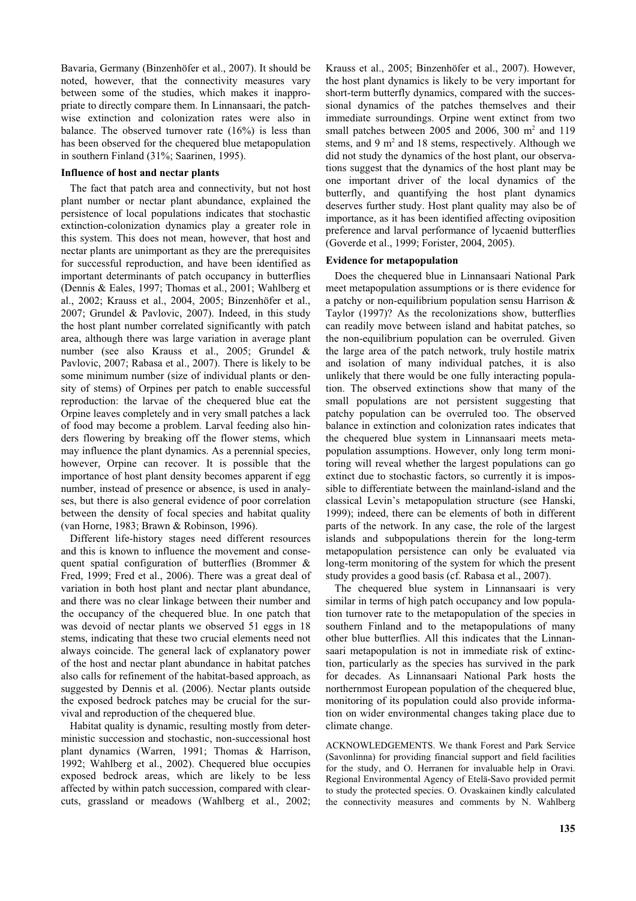Bavaria, Germany (Binzenhöfer et al., 2007). It should be noted, however, that the connectivity measures vary between some of the studies, which makes it inappropriate to directly compare them. In Linnansaari, the patchwise extinction and colonization rates were also in balance. The observed turnover rate (16%) is less than has been observed for the chequered blue metapopulation in southern Finland (31%; Saarinen, 1995).

### **Influence of host and nectar plants**

The fact that patch area and connectivity, but not host plant number or nectar plant abundance, explained the persistence of local populations indicates that stochastic extinction-colonization dynamics play a greater role in this system. This does not mean, however, that host and nectar plants are unimportant as they are the prerequisites for successful reproduction, and have been identified as important determinants of patch occupancy in butterflies (Dennis & Eales, 1997; Thomas et al., 2001; Wahlberg et al., 2002; Krauss et al., 2004, 2005; Binzenhöfer et al., 2007; Grundel & Pavlovic, 2007). Indeed, in this study the host plant number correlated significantly with patch area, although there was large variation in average plant number (see also Krauss et al., 2005; Grundel & Pavlovic, 2007; Rabasa et al., 2007). There is likely to be some minimum number (size of individual plants or density of stems) of Orpines per patch to enable successful reproduction: the larvae of the chequered blue eat the Orpine leaves completely and in very small patches a lack of food may become a problem. Larval feeding also hinders flowering by breaking off the flower stems, which may influence the plant dynamics. As a perennial species, however, Orpine can recover. It is possible that the importance of host plant density becomes apparent if egg number, instead of presence or absence, is used in analyses, but there is also general evidence of poor correlation between the density of focal species and habitat quality (van Horne, 1983; Brawn & Robinson, 1996).

Different life-history stages need different resources and this is known to influence the movement and consequent spatial configuration of butterflies (Brommer & Fred, 1999; Fred et al., 2006). There was a great deal of variation in both host plant and nectar plant abundance, and there was no clear linkage between their number and the occupancy of the chequered blue. In one patch that was devoid of nectar plants we observed 51 eggs in 18 stems, indicating that these two crucial elements need not always coincide. The general lack of explanatory power of the host and nectar plant abundance in habitat patches also calls for refinement of the habitat-based approach, as suggested by Dennis et al. (2006). Nectar plants outside the exposed bedrock patches may be crucial for the survival and reproduction of the chequered blue.

Habitat quality is dynamic, resulting mostly from deterministic succession and stochastic, non-successional host plant dynamics (Warren, 1991; Thomas & Harrison, 1992; Wahlberg et al., 2002). Chequered blue occupies exposed bedrock areas, which are likely to be less affected by within patch succession, compared with clearcuts, grassland or meadows (Wahlberg et al., 2002; Krauss et al., 2005; Binzenhöfer et al., 2007). However, the host plant dynamics is likely to be very important for short-term butterfly dynamics, compared with the successional dynamics of the patches themselves and their immediate surroundings. Orpine went extinct from two small patches between 2005 and 2006, 300  $m<sup>2</sup>$  and 119 stems, and 9 m<sup>2</sup> and 18 stems, respectively. Although we did not study the dynamics of the host plant, our observations suggest that the dynamics of the host plant may be one important driver of the local dynamics of the butterfly, and quantifying the host plant dynamics deserves further study. Host plant quality may also be of importance, as it has been identified affecting oviposition preference and larval performance of lycaenid butterflies (Goverde et al., 1999; Forister, 2004, 2005).

# **Evidence for metapopulation**

Does the chequered blue in Linnansaari National Park meet metapopulation assumptions or is there evidence for a patchy or non-equilibrium population sensu Harrison & Taylor (1997)? As the recolonizations show, butterflies can readily move between island and habitat patches, so the non-equilibrium population can be overruled. Given the large area of the patch network, truly hostile matrix and isolation of many individual patches, it is also unlikely that there would be one fully interacting population. The observed extinctions show that many of the small populations are not persistent suggesting that patchy population can be overruled too. The observed balance in extinction and colonization rates indicates that the chequered blue system in Linnansaari meets metapopulation assumptions. However, only long term monitoring will reveal whether the largest populations can go extinct due to stochastic factors, so currently it is impossible to differentiate between the mainland-island and the classical Levin's metapopulation structure (see Hanski, 1999); indeed, there can be elements of both in different parts of the network. In any case, the role of the largest islands and subpopulations therein for the long-term metapopulation persistence can only be evaluated via long-term monitoring of the system for which the present study provides a good basis (cf. Rabasa et al., 2007).

The chequered blue system in Linnansaari is very similar in terms of high patch occupancy and low population turnover rate to the metapopulation of the species in southern Finland and to the metapopulations of many other blue butterflies. All this indicates that the Linnansaari metapopulation is not in immediate risk of extinction, particularly as the species has survived in the park for decades. As Linnansaari National Park hosts the northernmost European population of the chequered blue, monitoring of its population could also provide information on wider environmental changes taking place due to climate change.

ACKNOWLEDGEMENTS. We thank Forest and Park Service (Savonlinna) for providing financial support and field facilities for the study, and O. Herranen for invaluable help in Oravi. Regional Environmental Agency of Etelä-Savo provided permit to study the protected species. O. Ovaskainen kindly calculated the connectivity measures and comments by N. Wahlberg